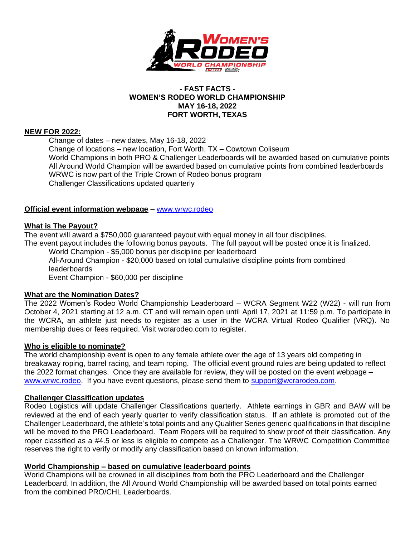

### **- FAST FACTS - WOMEN'S RODEO WORLD CHAMPIONSHIP MAY 16-18, 2022 FORT WORTH, TEXAS**

## **NEW FOR 2022:**

Change of dates – new dates, May 16-18, 2022 Change of locations – new location, Fort Worth, TX – Cowtown Coliseum World Champions in both PRO & Challenger Leaderboards will be awarded based on cumulative points All Around World Champion will be awarded based on cumulative points from combined leaderboards WRWC is now part of the Triple Crown of Rodeo bonus program Challenger Classifications updated quarterly

# **Official event information webpage –** [www.wrwc.rodeo](http://www.wrwc.rodeo/)

# **What is The Payout?**

The event will award a \$750,000 guaranteed payout with equal money in all four disciplines.

The event payout includes the following bonus payouts. The full payout will be posted once it is finalized.

World Champion - \$5,000 bonus per discipline per leaderboard All-Around Champion - \$20,000 based on total cumulative discipline points from combined leaderboards Event Champion - \$60,000 per discipline

# **What are the Nomination Dates?**

The 2022 Women's Rodeo World Championship Leaderboard – WCRA Segment W22 (W22) - will run from October 4, 2021 starting at 12 a.m. CT and will remain open until April 17, 2021 at 11:59 p.m. To participate in the WCRA, an athlete just needs to register as a user in the WCRA Virtual Rodeo Qualifier (VRQ). No membership dues or fees required. Visit wcrarodeo.com to register.

# **Who is eligible to nominate?**

The world championship event is open to any female athlete over the age of 13 years old competing in breakaway roping, barrel racing, and team roping. The official event ground rules are being updated to reflect the 2022 format changes. Once they are available for review, they will be posted on the event webpage – [www.wrwc.rodeo.](http://www.wrwc.rodeo/) If you have event questions, please send them to [support@wcrarodeo.com.](mailto:support@wcrarodeo.com)

### **Challenger Classification updates**

Rodeo Logistics will update Challenger Classifications quarterly. Athlete earnings in GBR and BAW will be reviewed at the end of each yearly quarter to verify classification status. If an athlete is promoted out of the Challenger Leaderboard, the athlete's total points and any Qualifier Series generic qualifications in that discipline will be moved to the PRO Leaderboard. Team Ropers will be required to show proof of their classification. Any roper classified as a #4.5 or less is eligible to compete as a Challenger. The WRWC Competition Committee reserves the right to verify or modify any classification based on known information.

# **World Championship – based on cumulative leaderboard points**

World Champions will be crowned in all disciplines from both the PRO Leaderboard and the Challenger Leaderboard. In addition, the All Around World Championship will be awarded based on total points earned from the combined PRO/CHL Leaderboards.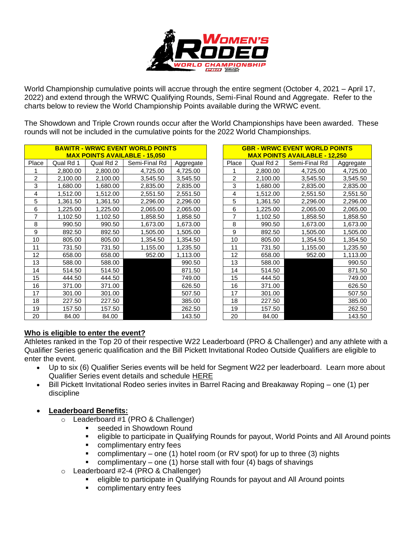

World Championship cumulative points will accrue through the entire segment (October 4, 2021 – April 17, 2022) and extend through the WRWC Qualifying Rounds, Semi-Final Round and Aggregate. Refer to the charts below to review the World Championship Points available during the WRWC event.

The Showdown and Triple Crown rounds occur after the World Championships have been awarded. These rounds will not be included in the cumulative points for the 2022 World Championships.

| <b>BAW/TR - WRWC EVENT WORLD POINTS</b><br><b>MAX POINTS AVAILABLE - 15,050</b> |           |           |               |           | <b>GBR - WRWC EVENT WORLD POINTS</b><br><b>MAX POINTS AVAILABLE - 12.250</b> |           |               |           |
|---------------------------------------------------------------------------------|-----------|-----------|---------------|-----------|------------------------------------------------------------------------------|-----------|---------------|-----------|
| Place                                                                           | Qual Rd 1 | Qual Rd 2 | Semi-Final Rd | Aggregate | Place                                                                        | Qual Rd 2 | Semi-Final Rd | Aggregate |
|                                                                                 | 2,800.00  | 2,800.00  | 4,725.00      | 4,725.00  |                                                                              | 2,800.00  | 4,725.00      | 4,725.00  |
| $\overline{2}$                                                                  | 2,100.00  | 2,100.00  | 3,545.50      | 3,545.50  | 2                                                                            | 2,100.00  | 3,545.50      | 3,545.50  |
| 3                                                                               | 1,680.00  | 1,680.00  | 2,835.00      | 2,835.00  | 3                                                                            | 1,680.00  | 2,835.00      | 2,835.00  |
| 4                                                                               | 1,512.00  | 1,512.00  | 2,551.50      | 2,551.50  | 4                                                                            | 1,512.00  | 2,551.50      | 2,551.50  |
| 5                                                                               | 1,361.50  | 1,361.50  | 2,296.00      | 2,296.00  | 5                                                                            | 1,361.50  | 2,296.00      | 2,296.00  |
| 6                                                                               | 1,225.00  | 1,225.00  | 2,065.00      | 2,065.00  | 6                                                                            | 1,225.00  | 2,065.00      | 2,065.00  |
| 7                                                                               | 1,102.50  | 1,102.50  | 1,858.50      | 1,858.50  | 7                                                                            | 1,102.50  | 1,858.50      | 1,858.50  |
| 8                                                                               | 990.50    | 990.50    | 1,673.00      | 1,673.00  | 8                                                                            | 990.50    | 1,673.00      | 1,673.00  |
| 9                                                                               | 892.50    | 892.50    | 1,505.00      | 1,505.00  | 9                                                                            | 892.50    | 1,505.00      | 1,505.00  |
| 10                                                                              | 805.00    | 805.00    | 1,354.50      | 1,354.50  | 10                                                                           | 805.00    | 1,354.50      | 1,354.50  |
| 11                                                                              | 731.50    | 731.50    | 1,155.00      | 1,235.50  | 11                                                                           | 731.50    | 1,155.00      | 1,235.50  |
| 12                                                                              | 658.00    | 658.00    | 952.00        | 1,113.00  | 12                                                                           | 658.00    | 952.00        | 1,113.00  |
| 13                                                                              | 588.00    | 588.00    |               | 990.50    | 13                                                                           | 588.00    |               | 990.50    |
| 14                                                                              | 514.50    | 514.50    |               | 871.50    | 14                                                                           | 514.50    |               | 871.50    |
| 15                                                                              | 444.50    | 444.50    |               | 749.00    | 15                                                                           | 444.50    |               | 749.00    |
| 16                                                                              | 371.00    | 371.00    |               | 626.50    | 16                                                                           | 371.00    |               | 626.50    |
| 17                                                                              | 301.00    | 301.00    |               | 507.50    | 17                                                                           | 301.00    |               | 507.50    |
| 18                                                                              | 227.50    | 227.50    |               | 385.00    | 18                                                                           | 227.50    |               | 385.00    |
| 19                                                                              | 157.50    | 157.50    |               | 262.50    | 19                                                                           | 157.50    |               | 262.50    |
| 20                                                                              | 84.00     | 84.00     |               | 143.50    | 20                                                                           | 84.00     |               | 143.50    |

| <b>GBR - WRWC EVENT WORLD POINTS</b>  |           |               |           |  |  |  |  |  |  |
|---------------------------------------|-----------|---------------|-----------|--|--|--|--|--|--|
| <u> MAX POINTS AVAILABLE - 12,250</u> |           |               |           |  |  |  |  |  |  |
| Place                                 | Qual Rd 2 | Semi-Final Rd | Aggregate |  |  |  |  |  |  |
| 1                                     | 2,800.00  | 4,725.00      | 4,725.00  |  |  |  |  |  |  |
| $\overline{c}$                        | 2,100.00  | 3,545.50      | 3,545.50  |  |  |  |  |  |  |
| 3                                     | 1,680.00  | 2,835.00      | 2,835.00  |  |  |  |  |  |  |
| 4                                     | 1,512.00  | 2,551.50      | 2,551.50  |  |  |  |  |  |  |
| 5                                     | 1,361.50  | 2,296.00      | 2,296.00  |  |  |  |  |  |  |
| 6                                     | 1,225.00  | 2,065.00      | 2,065.00  |  |  |  |  |  |  |
| 7                                     | 1,102.50  | 1,858.50      | 1,858.50  |  |  |  |  |  |  |
| 8                                     | 990.50    | 1,673.00      | 1,673.00  |  |  |  |  |  |  |
| 9                                     | 892.50    | 1,505.00      | 1,505.00  |  |  |  |  |  |  |
| 10                                    | 805.00    | 1,354.50      | 1,354.50  |  |  |  |  |  |  |
| 11                                    | 731.50    | 1,155.00      | 1,235.50  |  |  |  |  |  |  |
| 12                                    | 658.00    | 952.00        | 1,113.00  |  |  |  |  |  |  |
| 13                                    | 588.00    |               | 990.50    |  |  |  |  |  |  |
| 14                                    | 514.50    |               | 871.50    |  |  |  |  |  |  |
| 15                                    | 444.50    |               | 749.00    |  |  |  |  |  |  |
| 16                                    | 371.00    |               | 626.50    |  |  |  |  |  |  |
| 17                                    | 301.00    |               | 507.50    |  |  |  |  |  |  |
| 18                                    | 227.50    |               | 385.00    |  |  |  |  |  |  |
| 19                                    | 157.50    |               | 262.50    |  |  |  |  |  |  |
| 20                                    | 84.00     |               | 143.50    |  |  |  |  |  |  |

# **Who is eligible to enter the event?**

Athletes ranked in the Top 20 of their respective W22 Leaderboard (PRO & Challenger) and any athlete with a Qualifier Series generic qualification and the Bill Pickett Invitational Rodeo Outside Qualifiers are eligible to enter the event.

- Up to six (6) Qualifier Series events will be held for Segment W22 per leaderboard. Learn more about Qualifier Series event details and schedule [HERE](https://wrwc.rodeo/?page_id=1285)
- Bill Pickett Invitational Rodeo series invites in Barrel Racing and Breakaway Roping one (1) per discipline
- **Leaderboard Benefits:**
	- o Leaderboard #1 (PRO & Challenger)
		- seeded in Showdown Round
		- **eligible to participate in Qualifying Rounds for payout, World Points and All Around points**
		- complimentary entry fees
		- complimentary one (1) hotel room (or RV spot) for up to three (3) nights
		- complimentary one (1) horse stall with four (4) bags of shavings
	- o Leaderboard #2-4 (PRO & Challenger)
		- eligible to participate in Qualifying Rounds for payout and All Around points
		- complimentary entry fees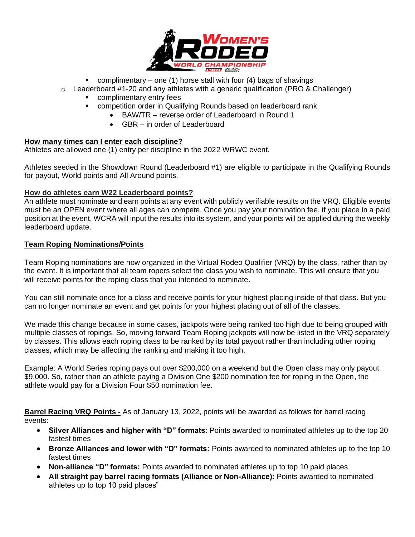

- **•** complimentary one (1) horse stall with four (4) bags of shavings
- $\circ$  Leaderboard #1-20 and any athletes with a generic qualification (PRO & Challenger)
	- complimentary entry fees
	- competition order in Qualifying Rounds based on leaderboard rank
		- BAW/TR reverse order of Leaderboard in Round 1
		- GBR in order of Leaderboard

## **How many times can I enter each discipline?**

Athletes are allowed one (1) entry per discipline in the 2022 WRWC event.

Athletes seeded in the Showdown Round (Leaderboard #1) are eligible to participate in the Qualifying Rounds for payout, World points and All Around points.

## **How do athletes earn W22 Leaderboard points?**

An athlete must nominate and earn points at any event with publicly verifiable results on the VRQ. Eligible events must be an OPEN event where all ages can compete. Once you pay your nomination fee, if you place in a paid position at the event, WCRA will input the results into its system, and your points will be applied during the weekly leaderboard update.

# **Team Roping Nominations/Points**

Team Roping nominations are now organized in the Virtual Rodeo Qualifier (VRQ) by the class, rather than by the event. It is important that all team ropers select the class you wish to nominate. This will ensure that you will receive points for the roping class that you intended to nominate.

You can still nominate once for a class and receive points for your highest placing inside of that class. But you can no longer nominate an event and get points for your highest placing out of all of the classes.

We made this change because in some cases, jackpots were being ranked too high due to being grouped with multiple classes of ropings. So, moving forward Team Roping jackpots will now be listed in the VRQ separately by classes. This allows each roping class to be ranked by its total payout rather than including other roping classes, which may be affecting the ranking and making it too high.

Example: A World Series roping pays out over \$200,000 on a weekend but the Open class may only payout \$9,000. So, rather than an athlete paying a Division One \$200 nomination fee for roping in the Open, the athlete would pay for a Division Four \$50 nomination fee.

**Barrel Racing VRQ Points -** As of January 13, 2022, points will be awarded as follows for barrel racing events:

- **Silver Alliances and higher with "D" formats**: Points awarded to nominated athletes up to the top 20 fastest times
- **Bronze Alliances and lower with "D" formats:** Points awarded to nominated athletes up to the top 10 fastest times
- **Non-alliance "D" formats:** Points awarded to nominated athletes up to top 10 paid places
- **All straight pay barrel racing formats (Alliance or Non-Alliance):** Points awarded to nominated athletes up to top 10 paid places"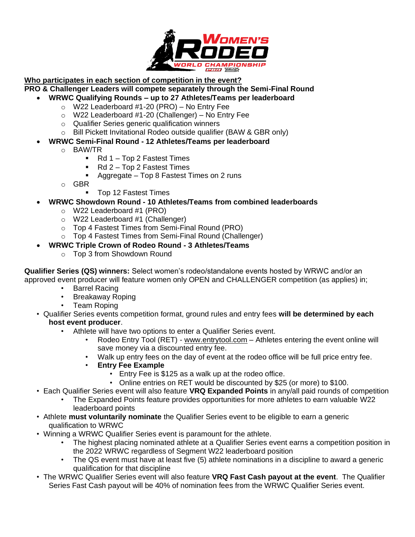

# **Who participates in each section of competition in the event?**

**PRO & Challenger Leaders will compete separately through the Semi-Final Round**

- **WRWC Qualifying Rounds – up to 27 Athletes/Teams per leaderboard**
	- o W22 Leaderboard #1-20 (PRO) No Entry Fee
	- o W22 Leaderboard #1-20 (Challenger) No Entry Fee
	- o Qualifier Series generic qualification winners
	- o Bill Pickett Invitational Rodeo outside qualifier (BAW & GBR only)
- **WRWC Semi-Final Round - 12 Athletes/Teams per leaderboard**
	- o BAW/TR
		- Rd 1 Top 2 Fastest Times
		- Rd 2 Top 2 Fastest Times
		- Aggregate Top 8 Fastest Times on 2 runs
	- o GBR
		- Top 12 Fastest Times
- **WRWC Showdown Round - 10 Athletes/Teams from combined leaderboards**
	- o W22 Leaderboard #1 (PRO)
	- o W22 Leaderboard #1 (Challenger)
	- o Top 4 Fastest Times from Semi-Final Round (PRO)
	- o Top 4 Fastest Times from Semi-Final Round (Challenger)
	- **WRWC Triple Crown of Rodeo Round - 3 Athletes/Teams**
		- o Top 3 from Showdown Round

**Qualifier Series (QS) winners:** Select women's rodeo/standalone events hosted by WRWC and/or an approved event producer will feature women only OPEN and CHALLENGER competition (as applies) in;

- Barrel Racing
- Breakaway Roping
- Team Roping
- Qualifier Series events competition format, ground rules and entry fees **will be determined by each host event producer**.
	- Athlete will have two options to enter a Qualifier Series event.
		- Rodeo Entry Tool (RET) [www.entrytool.com](http://www.entrytool.com/) Athletes entering the event online will save money via a discounted entry fee.
		- Walk up entry fees on the day of event at the rodeo office will be full price entry fee.
		- **Entry Fee Example**
			- Entry Fee is \$125 as a walk up at the rodeo office.
			- Online entries on RET would be discounted by \$25 (or more) to \$100.
- Each Qualifier Series event will also feature **VRQ Expanded Points** in any/all paid rounds of competition
	- The Expanded Points feature provides opportunities for more athletes to earn valuable W22 leaderboard points
- Athlete **must voluntarily nominate** the Qualifier Series event to be eligible to earn a generic qualification to WRWC
- Winning a WRWC Qualifier Series event is paramount for the athlete.
	- The highest placing nominated athlete at a Qualifier Series event earns a competition position in the 2022 WRWC regardless of Segment W22 leaderboard position
	- The QS event must have at least five (5) athlete nominations in a discipline to award a generic qualification for that discipline
- The WRWC Qualifier Series event will also feature **VRQ Fast Cash payout at the event**. The Qualifier Series Fast Cash payout will be 40% of nomination fees from the WRWC Qualifier Series event.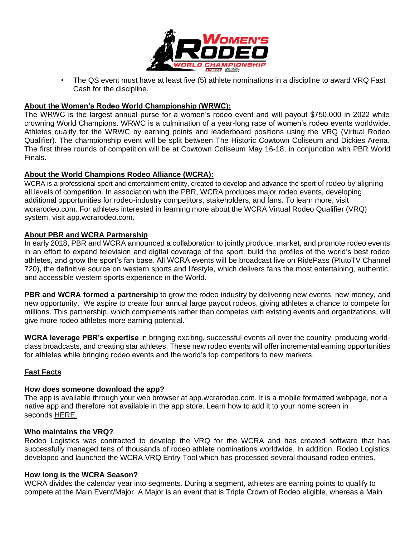

• The QS event must have at least five (5) athlete nominations in a discipline to award VRQ Fast Cash for the discipline.

# **About the Women's Rodeo World Championship (WRWC):**

The WRWC is the largest annual purse for a women's rodeo event and will payout \$750,000 in 2022 while crowning World Champions. WRWC is a culmination of a year-long race of women's rodeo events worldwide. Athletes qualify for the WRWC by earning points and leaderboard positions using the VRQ (Virtual Rodeo Qualifier). The championship event will be split between The Historic Cowtown Coliseum and Dickies Arena. The first three rounds of competition will be at Cowtown Coliseum May 16-18, in conjunction with PBR World Finals.

## **About the World Champions Rodeo Alliance (WCRA):**

WCRA is a professional sport and entertainment entity, created to develop and advance the sport of rodeo by aligning all levels of competition. In association with the PBR, WCRA produces major rodeo events, developing additional opportunities for rodeo-industry competitors, stakeholders, and fans. To learn more, visit wcrarodeo.com. For athletes interested in learning more about the WCRA Virtual Rodeo Qualifier (VRQ) system, visit app.wcrarodeo.com.

## **About PBR and WCRA Partnership**

In early 2018, PBR and WCRA announced a collaboration to jointly produce, market, and promote rodeo events in an effort to expand television and digital coverage of the sport, build the profiles of the world's best rodeo athletes, and grow the sport's fan base. All WCRA events will be broadcast live on RidePass (PlutoTV Channel 720), the definitive source on western sports and lifestyle, which delivers fans the most entertaining, authentic, and accessible western sports experience in the World.

**PBR and WCRA formed a partnership** to grow the rodeo industry by delivering new events, new money, and new opportunity. We aspire to create four annual large payout rodeos, giving athletes a chance to compete for millions. This partnership, which complements rather than competes with existing events and organizations, will give more rodeo athletes more earning potential.

**WCRA leverage PBR's expertise** in bringing exciting, successful events all over the country, producing worldclass broadcasts, and creating star athletes. These new rodeo events will offer incremental earning opportunities for athletes while bringing rodeo events and the world's top competitors to new markets.

# **Fast Facts**

### **How does someone download the app?**

The app is available through your web browser at app.wcrarodeo.com. It is a mobile formatted webpage, not a native app and therefore not available in the app store. Learn how to add it to your home screen in seconds [HERE.](https://www.youtube.com/watch?v=Fb-14D_qJ-g)

### **Who maintains the VRQ?**

Rodeo Logistics was contracted to develop the VRQ for the WCRA and has created software that has successfully managed tens of thousands of rodeo athlete nominations worldwide. In addition, Rodeo Logistics developed and launched the WCRA VRQ Entry Tool which has processed several thousand rodeo entries.

### **How long is the WCRA Season?**

WCRA divides the calendar year into segments. During a segment, athletes are earning points to qualify to compete at the Main Event/Major. A Major is an event that is Triple Crown of Rodeo eligible, whereas a Main